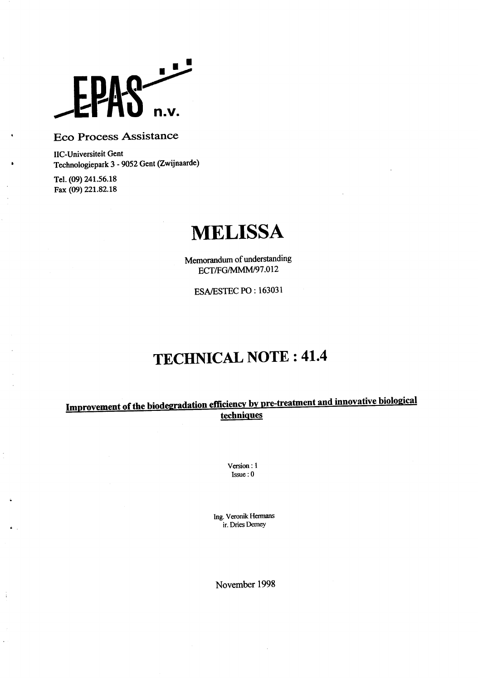

## . Eco Process Assistance

chnologiepark 3 - 9052 Gent (Zwijnaarde) IIC-Universiteit Gent

Tel. (09) 241.5618 Fax (09) 221.82.18

÷

# **MELISSA**

ECT/FG/MMM/97.012 Memorandum of understanding

SA/ESTEC PO : 163031

# **: 41.4 TECHNICAL NOTE**

#### **tecbniaues <u>mprovement of the biodegradation efficiency by pre-treatment and innovative biological</u>**

/ersion : 1 Issue : 0

r. Dries Demey ng. Veronik Hermans

November 1998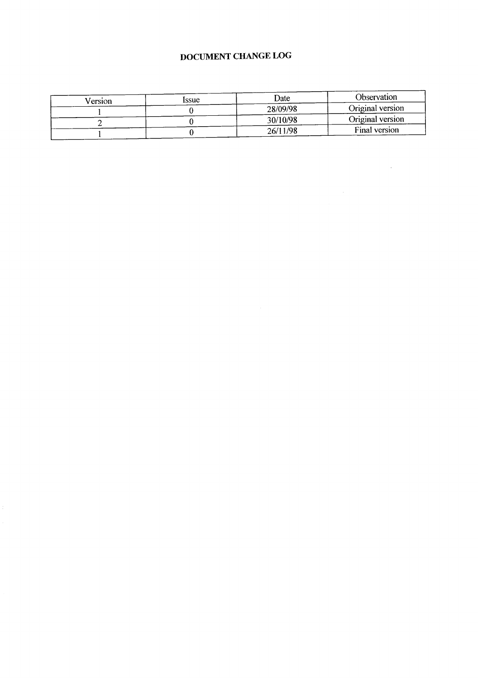## DOCUMENT **CHANGE LOG**

| Version | ssue | Date     | Observation      |
|---------|------|----------|------------------|
|         |      | 28/09/98 | Original version |
|         |      | 30/10/98 | Original version |
|         |      | 26/11/98 | Final version    |

 $\label{eq:2.1} \frac{1}{\sqrt{2}}\int_{0}^{\infty}\frac{1}{\sqrt{2\pi}}\left(\frac{1}{\sqrt{2\pi}}\right)^{2\alpha} \frac{1}{\sqrt{2\pi}}\int_{0}^{\infty}\frac{1}{\sqrt{2\pi}}\frac{1}{\sqrt{2\pi}}\frac{1}{\sqrt{2\pi}}\frac{1}{\sqrt{2\pi}}\frac{1}{\sqrt{2\pi}}\frac{1}{\sqrt{2\pi}}\frac{1}{\sqrt{2\pi}}\frac{1}{\sqrt{2\pi}}\frac{1}{\sqrt{2\pi}}\frac{1}{\sqrt{2\pi}}\frac{1}{\sqrt{2\pi}}\frac{1}{$ 

 $\label{eq:2.1} \frac{1}{\sqrt{2}}\left(\frac{1}{\sqrt{2}}\right)^{2} \left(\frac{1}{\sqrt{2}}\right)^{2} \left(\frac{1}{\sqrt{2}}\right)^{2} \left(\frac{1}{\sqrt{2}}\right)^{2} \left(\frac{1}{\sqrt{2}}\right)^{2} \left(\frac{1}{\sqrt{2}}\right)^{2} \left(\frac{1}{\sqrt{2}}\right)^{2} \left(\frac{1}{\sqrt{2}}\right)^{2} \left(\frac{1}{\sqrt{2}}\right)^{2} \left(\frac{1}{\sqrt{2}}\right)^{2} \left(\frac{1}{\sqrt{2}}\right)^{2} \left(\$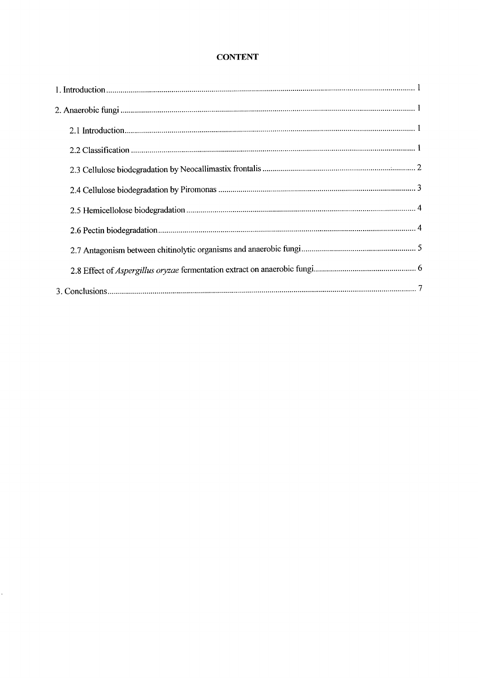## **CONTENT**

Ļ,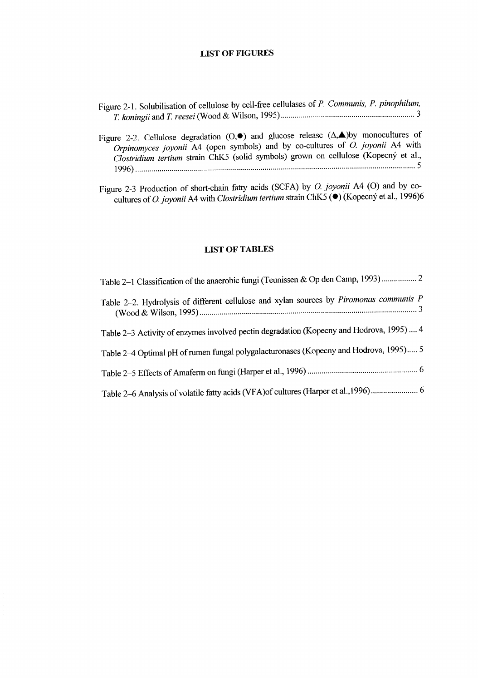#### **LIST OF FIGURES**

- & Wilson, 1995) . . . . . . . . . . . . . . . . . . . . . . . . . . . . . . . . . . . . . . . . . . . . . . . . . . . . . . . . . . . . . . . . . . 3 *T. koningii* and i? *reesei* (Wood gure 2-1. Solubilisation of cellulose by cell-free cellulases of *P. Communis, P. pinophilum,*
- ..\_.......................................................................................................................... 5 1996) . . . . . . . . . . . . . lostridium tertium strain ChK5 (solid symbols) grown on cellulose (Kopecny et al., gure 2-2. Cellulose degradation  $(0, \bullet)$  and glucose release  $(\Delta, \blacktriangle)$  by monocultures of *Orpinomyces joyonii A4* (open symbols) and by co-cultures of 0. *joyonii A4* with
- duures of *O. joyonii* A4 with *Clostridium tertium* strain ChK5 (●) (Kopecný et al., 1996)6 igure 2-3 Production of short-chain fatty acids (SCFA) by  $O$ . *joyonii* A4 (O) and by co-

#### **LIST OF TABLES**

| Table 2-2. Hydrolysis of different cellulose and xylan sources by Piromonas communis P   |
|------------------------------------------------------------------------------------------|
| Table 2–3 Activity of enzymes involved pectin degradation (Kopecny and Hodrova, 1995)  4 |
| Table 2-4 Optimal pH of rumen fungal polygalacturonases (Kopecny and Hodrova, 1995) 5    |
|                                                                                          |
|                                                                                          |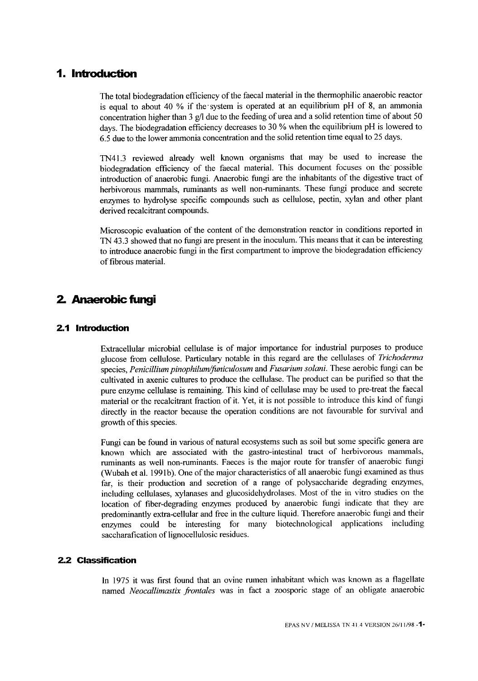## 1. Introduction

lays. The biodegradation efficiency decreases to  $30\%$  when the equilibrium pH is lowered to 6.5 due to the lower ammonia concentration and the solid retention time equal to 25 days. concentration higher than  $\frac{1}{3}$  g/l due to the leeding of urea and a solid retention time of about  $\frac{1}{3}$  $\sigma$  s equal to about 40  $\%$  if the system is operated at an equilibrium prior  $\sigma$ , an ammonia The total biodegradation efficiency of the faecal material in the thermophilic anaerobic reactor

 $b$  possible possible possible the faecal material. This document focuses on the possible possible introduction of anaerobic fungi. Anaerobic fungi are the inhabitants of the digestive tract of herbivorous mammals, ruminants as well non-ruminants. These fungi produce and secrete enzymes to hydrolyse specific compounds such as cellulose, pectin, xylan and other plant derived recalcitrant compounds. TN41.3 reviewed already well known organisms that may be used to increase the

Microscopic evaluation of the content of the demonstration reactor in conditions reported in TN 43.3 showed that no fungi are present in the inoculum. This means that it can be interesting to introduce anaerobic fungi in the first compartment to improve the biodegradation efficiency of fibrous material.

# 2. Anaerobic fungi

#### 2.1 Introduction

species, *Penicillium pinophilum/juniculosum* and *Fusarium solani.* These aerobic fungi can b cultivated in axenic cultures to produce the cellulase. The product can be purified so that the pure enzyme cellulase is remaining. This kind of cellulase may be used to pre-treat the faecal material or the recalcitrant fraction of it. Yet, it is not possible to introduce this kind of fungi directly in the reactor because the operation conditions are not favourable for survival and growth of this species. glucose from cellulose. Particulary notable in this regard are the cellulases of *Trichoderma* Extracellular microbial cellulase is of major importance for industrial purposes to produce

far, is their production and secretion of a range of polysacchariae degrading enzyme including cellulases, xylanases and glucosidehydrolases. Most of the in vitro studies on the location of fiber-degrading enzymes produced by anaerobic fungi indicate that they are predominantly extra-cellular and free in the culture liquid. Therefore anaerobic fungi and their enzymes could be interesting for many biotechnological applications including saccharafication of lignocellulosic residues. Fungi can be found in various of natural ecosystems such as soil but some specific genera are known which are associated with the gastro-intestinal tract of herbivorous mammals, ruminants as well non-ruminants. Faeces is the major route for transfer of anaerobic fungi (Wubah et al. 1991b). One of the major characteristics of all anaerobic fungi examined as thus

#### *2.2* Classification

*@ontales was* in fact a zoosporic stage of an obligate anaerobic *Neocallimastix* named In  $1975$  it was first found that an ovine rumen inhabitant which was known as a flagella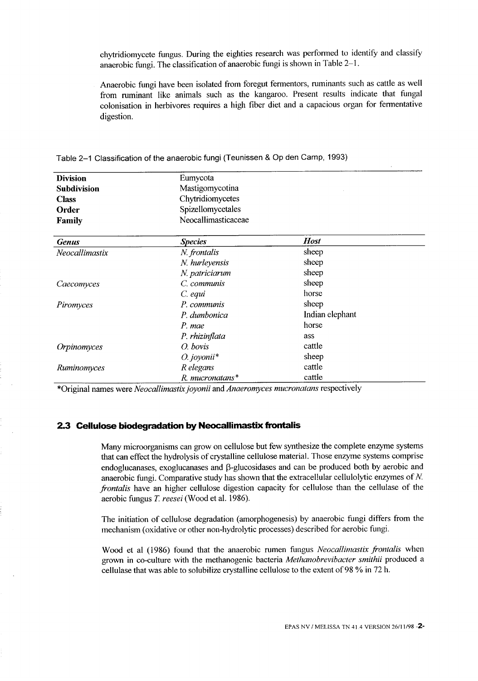chytridiomycete fungus. During the eighties research was performed to identify and classify anaerobic fungi. The classification of anaerobic fungi is shown in Table 2-l.

colonisation in herbivores requires a high fiber diet and a capacious organ for fermentative digestion. from ruminant like animals such as the kangaroo. Present results indicate that fungal Anaerobic fungi have been isolated from foregut fermentors, ruminants such as cattle as well

| <b>Division</b>    | Eumycota              |                 |  |  |  |
|--------------------|-----------------------|-----------------|--|--|--|
| <b>Subdivision</b> | Mastigomycotina       |                 |  |  |  |
| <b>Class</b>       | Chytridiomycetes      |                 |  |  |  |
| Order              | Spizellomycetales     |                 |  |  |  |
| <b>Family</b>      | Neocallimasticaceae   |                 |  |  |  |
| <b>Genus</b>       | <b>Species</b>        | <b>Host</b>     |  |  |  |
| Neocallimastix     | N. frontalis          | sheep           |  |  |  |
|                    | N. hurleyensis        | sheep           |  |  |  |
|                    | N. patriciarum        | sheep           |  |  |  |
| Caecomyces         | C. communis           | sheep           |  |  |  |
|                    | C. equi               | horse           |  |  |  |
| Piromyces          | P. communis           | sheep           |  |  |  |
|                    | P. dumbonica          | Indian elephant |  |  |  |
|                    | P. mae                | horse           |  |  |  |
|                    | P. rhizinflata        | ass             |  |  |  |
| Orpinomyces        | $O.$ bovis            | cattle          |  |  |  |
|                    | $O.$ joyonii*         | sheep           |  |  |  |
| Ruminomyces        | R elegans             | cattle          |  |  |  |
|                    | $R$ . mucronatans $*$ | cattle          |  |  |  |

Table 2–1 Classification of the anaerobic fungi (Teunissen & Op den Camp, 1993)

\*Original names were *Neocallimastix joyonii* and *Anaeromyces mucronatans* respectively

#### 2.3 Cellulose biodegradation by Neocallimastix frontalis

*reesei* (Wood et al. 1986). 2: aerobic fungus *frontalis* have an higher cellulose digestion capacity for cellulose than the cellulase of the  $en$ doglucanases, exoglucanases and  $p$ -glucosidases and can be produced both by aerobic and anaerobic fungi. Comparative study has shown that the extracellular cellulolytic enzymes of N. Many microorganisms can grow on cellulose but few synthesize the complete enzyme systems that can effect the hydrolysis of crystalline cellulose material. Those enzyme systems comprise

The initiation of cellulose degradation (amorphogenesis) by anaerobic fungi differs from the mechanism (oxidative or other non-hydrolytic processes) described for aerobic fungi.

cellulase that was able to solubilize crystalline cellulose to the extent of 98  $\%$  in 72 h Wood et al (1986) found that the anaerobic rumen fungus *Neocallimastix frontalis* when grown in co-culture with the methanogenic bacteria *Methanobrevibacter smithii* produced a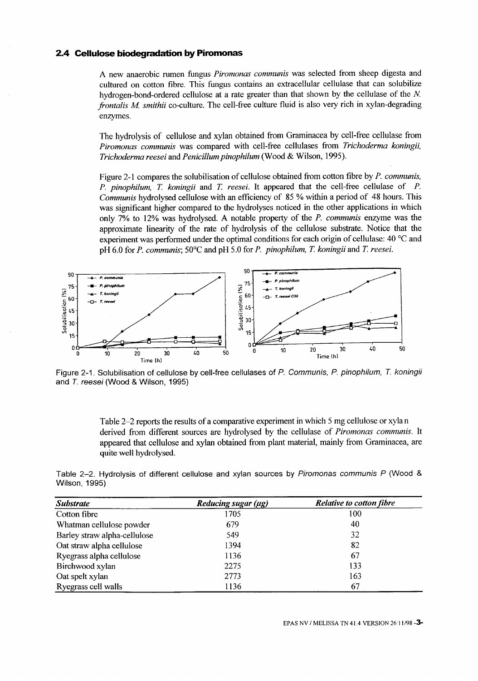#### 2.4 Cellulose biodegradation by Piromonas

*M smithii* co-culture. The cell-free culture fluid is also very rich in xylan-degrading *fiontalis*  enzymes. A new anaerobic rumen fungus *Piromonas communis* was selected from sheep digesta and cultured on cotton fibre. This fungus contains an extracellular cellulase that can solubilize hydrogen-bond-ordered cellulose at a rate greater than that shown by the cellulase of the N.

& Wilson, 1995). *reesei* and Penicillum pinophilum (Wood *Trichoderma*  The hydrolysis of cellulose and xylan obtained from Graminacea by cell-free cellulase from *Piromonas communis* was compared with cell-free cellulases from *Trichoderma koningii,*

*reesei.* pH 6.0 for *P. communis; 50°C* and pH 5.0 for *P. pinophilum, 7: koningii* and i?  $\alpha$  experiment was performed under the optimal conditions for each origin of central  $\alpha$ . *Rollingii and I. reesel.* It appeared that the cell-free cellulase of T. *Communis* hydrolysed cellulose with an efficiency of 85 % within a period of 48 hours. This was significant higher compared to the hydrolyses noticed in the other applications in which only 7% to 12% was hydrolysed. A notable property of the *P. communis* enzyme was the approximate linearity of the rate of hydrolysis of the cellulose substrate. Notice that the Figure 2-l compares the solubilisation of cellulose obtained from cotton fibre by *P. communis, P. pinophilum,* 



and *T. reesel* (Wood & Wilson, 1995 Figure 2-1. Solubilisation of cellulose by cell-free cellulases of *P. Communis, P. phophilum, T. Koningi*<br>Figure 2-1. Solubilisation of cellulose by cell-free cellulases of *P. Communis, P. phophilum, T. Koningi* 

Table 2-2 reports the results of a comparative experiment in which 5 mg cellulose or xyla n derived from different sources are hydrolysed by the cellulase of *Piromonas communis.* It appeared that cellulose and xylan obtained from plant material, mainly from Graminacea, are quite well hydrolysed.

| Table 2-2. Hydrolysis of different cellulose and xylan sources by Piromonas communis P (Wood & |  |  |  |  |  |
|------------------------------------------------------------------------------------------------|--|--|--|--|--|
| Wilson, 1995)                                                                                  |  |  |  |  |  |

| <b>Substrate</b>             | Reducing sugar $(\mu g)$ | <b>Relative to cotton fibre</b> |
|------------------------------|--------------------------|---------------------------------|
| Cotton fibre                 | 1705                     | 100                             |
| Whatman cellulose powder     | 679                      | 40                              |
| Barley straw alpha-cellulose | 549                      | 32                              |
| Oat straw alpha cellulose    | 1394                     | 82                              |
| Ryegrass alpha cellulose     | 1136                     | 67                              |
| Birchwood xylan              | 2275                     | 133                             |
| Oat spelt xylan              | 2773                     | 163                             |
| Ryegrass cell walls          | 1136                     | 67                              |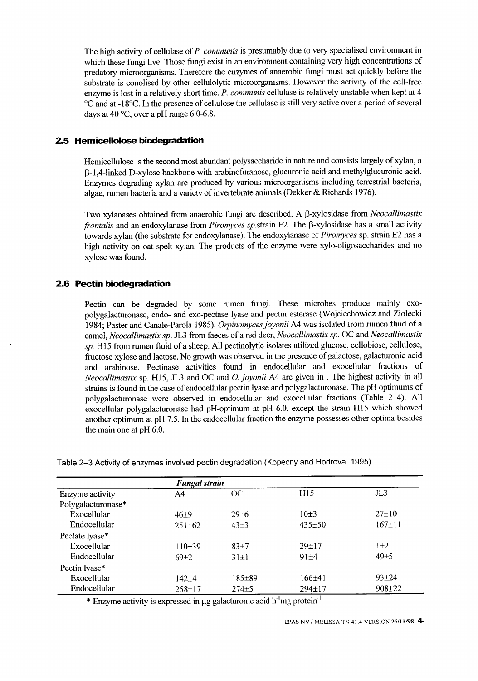tays at 40 °C, over a pH range 6.0-6.8. "C and at -18°C. In the presence of cellulose the cellulase is still very active over a period of several The high activity of cellulase of P. communis is presumably due to very specialised environment which these fungi live. Those fungi exist in an environment containing very high concentrations of predatory microorganisms. Therefore the enzymes of anaerobic fungi must act quickly before the substrate is conolised by other cellulolytic microorganisms. However the activity of the cell-free enzyme is lost in a relatively short time. *P. communis* cellulase is relatively unstable when kept at 4

#### 2.5 Hemicellolose biodegradation

 $a$ gae, rumen bactería and a variety of invertebrate animals (Dekker  $\alpha$  Kichards 1970) @1,6linked D-xylose backbone with arabinofuranose, glucuronic acid and methylglucuronic acid. Enzymes degrading xylan are produced by various microorganisms including terrestrial bacteria, Hemicellulose is the second most abundant polysaccharide in nature and consists largely of xylan, a

*frontalis* and an endoxylanase from *Piromyces sp.* strain E2. The p-xylosidase has a small activity towards xylan (the substrate for endoxylanase). The endoxylanase of *Piromyces* sp. strain E2 has a high activity on oat spelt xylan. The products of the enzyme were xylo-oligosaccharides and no xylose was found. I wo xylanases obtained from anaerobic fungi are described. A p-xylosidase from *Neocalitmasti* 

#### 2.6 Pectin biodegradation

the main one at  $pH$  6.0. another optimum at  $pr1/3$ . In the endocellular fraction the enzyme possesses other optima besides  $exocellular$  polygalacturonase had  $pH$ -optimum at  $pH$  6.0, except the strain  $H15$  which showe  $strains$  is found in the case of endocellular pectin tyase and polygalacturonase. The propulation of polygalacturonase were observed in endocellular and exocellular fractions (Table 2-4). All Neocallimastix sp. H<sub>15</sub>, JL3 and OC and *O. joyonii* A4 are given in . The highest activity in an rumen fluid of a sheep. All pectinolytic isolates utilized glucose, cellobiose, cellulose, *sp. H15* from fructose xylose and lactose. No growth was observed in the presence of galactose, galacturonic acid and arabinose. Pectinase activities found in endocellular and exocellular fractions of camel, *Neocallimastix sp.* JL3 from faeces of a red deer, *Neocallimastix sp.* OC and *Neocallimastic* 1984; Paster and Canale-Parola 1985). *Orpinomyces joyonii* A4 was isolated from futilen fillio of a polygalacturonase, endo- and exo-pectase lyase and pectin esterase (wojciechowicz and Ziolecki Pectin can be degraded by some rumen fungi. These microbes produce mainly exo-

Table 2-3 Activity of enzymes involved pectin degradation (Kopecny and Hodrova, 1995)

|                    | <b>Fungal strain</b> |              |                 |                 |
|--------------------|----------------------|--------------|-----------------|-----------------|
| Enzyme activity    | A4                   | OC           | H <sub>15</sub> | J <sub>L3</sub> |
| Polygalacturonase* |                      |              |                 |                 |
| Exocellular        | $46+9$               | $29 \pm 6$   | $10+3$          | $27 \pm 10$     |
| Endocellular       | $251 \pm 62$         | $43\pm3$     | $435 \pm 50$    | $167 \pm 11$    |
| Pectate lyase*     |                      |              |                 |                 |
| Exocellular        | $110+39$             | $83 + 7$     | $29+17$         | $1+2$           |
| Endocellular       | $69+2$               | $31\pm1$     | $91 + 4$        | $49 + 5$        |
| Pectin lyase*      |                      |              |                 |                 |
| Exocellular        | 142±4                | $185 \pm 89$ | $166+41$        | $93 + 24$       |
| Endocellular       | $258 + 17$           | $274 \pm 5$  | $294 \pm 17$    | $908 \pm 22$    |
|                    |                      |              | $\sim$          |                 |

\* Enzyme activity is expressed in µg galacturonic acid h'mg protein

EPAS NV / MELISSA TN 41.4 VERSION 26/11/98 - 4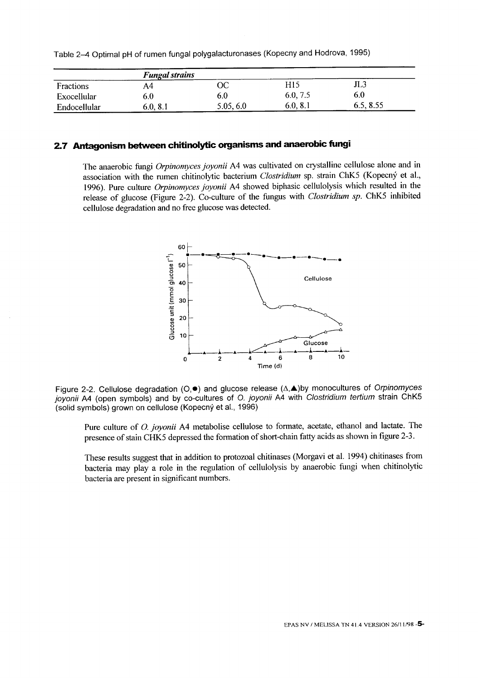| Toble 2–4 Optimal pH of rumen fungal polygalacturonases (Kopecny and Hodrova, 1995) |  |  |
|-------------------------------------------------------------------------------------|--|--|
|-------------------------------------------------------------------------------------|--|--|

|              | <b>Fungal strains</b> |           |          |           |  |  |  |
|--------------|-----------------------|-----------|----------|-----------|--|--|--|
| Fractions    |                       | ОC        | H15      | JL3       |  |  |  |
| Exocellular  | 5.0                   | 6.0       | 6.0, 7.5 | 6.0       |  |  |  |
| Endocellular | 6.0, 8.1              | 5.05, 6.0 | 6.0, 8.1 | 6.5, 8.55 |  |  |  |

### 2.7 Antagonism between chitinolytic organisms and anaerobic fungi

elease of glucose (Figure 2-2). Co-culture of the fungus with *Clostridium sp*. ChK5 inhibited cellulose degradation and no free glucose was detected. issociation with the rumen chitinolytic bacterium *Clostridium* sp. strain ChK5 (Kopecny et al. 1996). Pure culture *Orpinomyces joyonii A4* showed biphasic cellulolysis which resulted in the The anaerobic fungi *Orpinomyces joyonii A4 was* cultivated on crystalline cellulose alone and in



oyonii A4 (open symbols) and by co-cultures of O*. joyonii* A4 with Clos*tridium tertium* strain ChK! (solid symbols) grown on cellulose (Kopecny et al., 1996) Figure 2-2. Cellulose degradation (O, $\bullet$ ) and glucose release (∆,▲)by monocultures of O*rpinomyce* 

bresence of stain CHK5 depressed the formation of short-chain fatty acids as shown in figure 2-3. Pure culture of *O. joyonii* A4 metabolise cellulose to formate, acetate, ethanol and lactate. The

These results suggest that in addition to protozoal chitinases (Morgavi et al. 1994) chitinases from bacteria may play a role in the regulation of cellulolysis by anaerobic fungi when chitinolytic bacteria are present in significant numbers.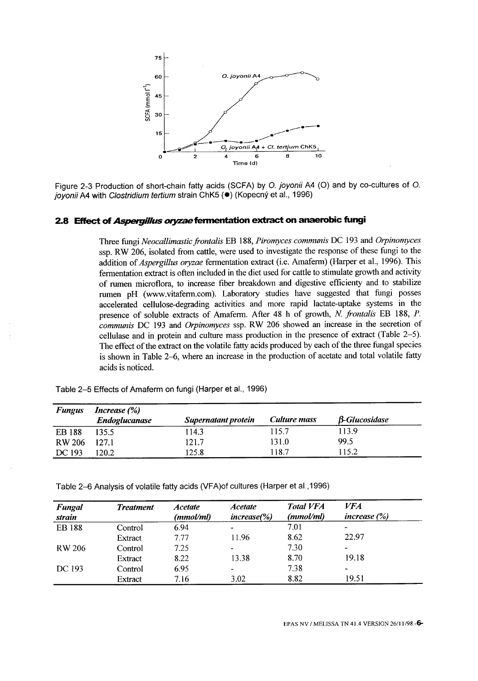

joyonii A4 with *Clostridium tertium s*train ChK5 (●) (Kopechy et al., 1996 Figure 2-3 Production of short-chain fatty acids (SCFA) by 0. Joyonii A4 (O) and by co-cultures of  $\sqrt{ }$ 

## 2.8 Effect of *Asperginus oryzae* fermentation extract on anaerobic fungi

function the extract on the volatile fatty acids produced by each of the three fungal species is shown in Table 2-6, where an increase in the production of acetate and total volatile fatty acids is noticed. cellulase and in protein and culture mass production in the presence of extract (Table 2-5). presence of soluble extracts of Amaterin. After 48 h of growth, N. *frontalis* EB 188, *P.*<br>PW 2006 h of the solution of *communis* DC 193 and *Orpinomyces* ssp. RW 206 showed an increase in the secretion of rumen pH (www.vitaferm.com). Laboratory studies have suggested that fungi accelerated cellulose-degrading activities and more rapid lactate-uptake systems in the of fumen microflora, to increase fiber breakdown and digestive efficienty and to stabilize addition of *Aspergitus oryzae* fermentation extract (i.e. Amarelin) (Harper et al., 1996). This fermentation extract is often included in the diet used for cattle to stimulate growth and activity *Aspergillus Neocallimastic~ontalis* EB 188, *Piromyces communis* DC 193 and *Orpinomyces* ssp. RW 200, isolated from cattle, were used to investigate the response of these fungi to the response of  $\frac{1}{2}$ Three fungi

| <b>Fungus</b> | <i>Increase</i> $(\%)$ |                     |              |                      |
|---------------|------------------------|---------------------|--------------|----------------------|
|               | <b>Endoglucanase</b>   | Supernatant protein | Culture mass | <b>B-Glucosidase</b> |
| <b>EB</b> 188 | 135.5                  | 14.3                | 115.7        | 113.9                |
| <b>RW 206</b> | 127.1                  | 121.7               | 131.0        | 99.5                 |
| DC 193        | 120.2                  | 125.8               | 118.7        | 115.2                |

Table 2-5 Effects of Amaferm on fungi (Harper et al., 1996)

Table 2-6 Analysis of volatile fatty acids (VFA)of cultures (Harper et al., 1996)

| <b>Fungal</b><br>strain | <b>Treatment</b> | <b>Acetate</b><br>(mmol/ml) | <b>Acetate</b><br>$increase$ %) | <b>Total VFA</b><br>(mmol/ml) | <i>VFA</i><br>increase $(\%)$ |
|-------------------------|------------------|-----------------------------|---------------------------------|-------------------------------|-------------------------------|
| <b>EB</b> 188           | Control          | 6.94                        |                                 | 7.01                          |                               |
|                         | Extract          | 7.77                        | 11.96                           | 8.62                          | 22.97                         |
| <b>RW 206</b>           | Control          | 7.25                        |                                 | 7.30                          | -                             |
|                         | Extract          | 8.22                        | 13.38                           | 8.70                          | 19.18                         |
| DC 193                  | Control          | 6.95                        |                                 | 7.38                          | ۰                             |
|                         | Extract          | 7.16                        | 3.02                            | 8.82                          | 19.51                         |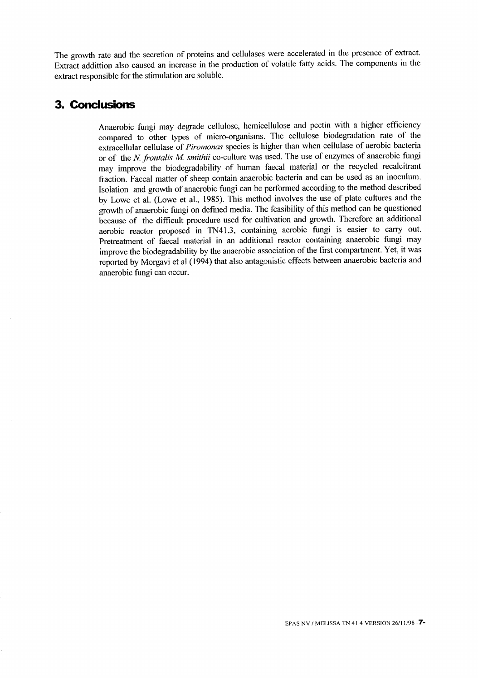xtract addittion also caused an increase in the production of volatile fatty acids. The components in the extract responsible for the stimulation are soluble. he growth rate and the secretion of proteins and cellulases were accelerated in the presence of extract.

## 3. Conclusions

ly Lowe et al. (Lowe et al., 1985). This method involves the use of plate cultures and the growth of anaerobic fungi on defined media. The feasibility of this method can be questioned because of the difficult procedure used for cultivation and growth. Therefore an additional aerobic reactor proposed in TN41.3, containing aerobic fungi is easier to carry out. Pretreatment of faecal material in an additional reactor containing anaerobic fungi may improve the biodegradability by the anaerobic association of the first compartment. Yet, it was reported by Morgavi et al (1994) that also antagonistic effects between anaerobic bacteria and anaerobic fungi can occur. or of the *N. frontalis M. smithii* co-culture was used. The use of enzymes of anaerobic fungi may improve the biodegradability of human faecal material or the recycled recalcitrant fraction. Faecal matter of sheep contain anaerobic bacteria and can be used as an inoculum. Isolation and growth of anaerobic fungi can be performed according to the method described xtracellular cellulase of *Piromonas* species is higher than when cellulase of aerobic bacteria Anaerobic fungi may degrade cellulose, hemicellulose and pectin with a higher efficiency compared to other types of micro-organisms. The cellulose biodegradation rate of the